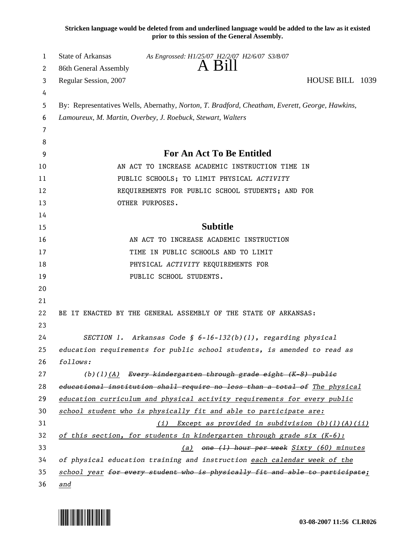**Stricken language would be deleted from and underlined language would be added to the law as it existed prior to this session of the General Assembly.**

| 1      | <b>State of Arkansas</b>                                                                       | As Engrossed: H1/25/07 H2/2/07 H2/6/07 S3/8/07                               |                 |  |  |
|--------|------------------------------------------------------------------------------------------------|------------------------------------------------------------------------------|-----------------|--|--|
| 2      | 86th General Assembly                                                                          | A Bill                                                                       |                 |  |  |
| 3      | Regular Session, 2007                                                                          |                                                                              | HOUSE BILL 1039 |  |  |
| 4      |                                                                                                |                                                                              |                 |  |  |
| 5      | By: Representatives Wells, Abernathy, Norton, T. Bradford, Cheatham, Everett, George, Hawkins, |                                                                              |                 |  |  |
| 6      |                                                                                                | Lamoureux, M. Martin, Overbey, J. Roebuck, Stewart, Walters                  |                 |  |  |
| 7      |                                                                                                |                                                                              |                 |  |  |
| 8<br>9 |                                                                                                | For An Act To Be Entitled                                                    |                 |  |  |
| 10     |                                                                                                | AN ACT TO INCREASE ACADEMIC INSTRUCTION TIME IN                              |                 |  |  |
| 11     |                                                                                                | PUBLIC SCHOOLS; TO LIMIT PHYSICAL ACTIVITY                                   |                 |  |  |
| 12     |                                                                                                | REQUIREMENTS FOR PUBLIC SCHOOL STUDENTS; AND FOR                             |                 |  |  |
| 13     |                                                                                                | OTHER PURPOSES.                                                              |                 |  |  |
| 14     |                                                                                                |                                                                              |                 |  |  |
| 15     |                                                                                                | <b>Subtitle</b>                                                              |                 |  |  |
| 16     |                                                                                                | AN ACT TO INCREASE ACADEMIC INSTRUCTION                                      |                 |  |  |
| 17     |                                                                                                | TIME IN PUBLIC SCHOOLS AND TO LIMIT                                          |                 |  |  |
| 18     |                                                                                                | PHYSICAL ACTIVITY REQUIREMENTS FOR                                           |                 |  |  |
| 19     |                                                                                                | PUBLIC SCHOOL STUDENTS.                                                      |                 |  |  |
| 20     |                                                                                                |                                                                              |                 |  |  |
| 21     |                                                                                                |                                                                              |                 |  |  |
| 22     |                                                                                                | BE IT ENACTED BY THE GENERAL ASSEMBLY OF THE STATE OF ARKANSAS:              |                 |  |  |
| 23     |                                                                                                |                                                                              |                 |  |  |
| 24     |                                                                                                | SECTION 1. Arkansas Code § $6-16-132(b)(1)$ , regarding physical             |                 |  |  |
| 25     |                                                                                                | education requirements for public school students, is amended to read as     |                 |  |  |
| 26     | follows:                                                                                       |                                                                              |                 |  |  |
| 27     |                                                                                                | $(b)(1)(A)$ Every kindergarten through grade eight $(K-8)$ public            |                 |  |  |
| 28     |                                                                                                | educational institution shall require no less than a total of The physical   |                 |  |  |
| 29     |                                                                                                | education curriculum and physical activity requirements for every public     |                 |  |  |
| 30     |                                                                                                | school student who is physically fit and able to participate are:            |                 |  |  |
| 31     |                                                                                                | Except as provided in subdivision $(b)(1)(A)(ii)$<br>(i)                     |                 |  |  |
| 32     |                                                                                                | of this section, for students in kindergarten through grade six $(K-6)$ :    |                 |  |  |
| 33     |                                                                                                | (a) one (1) hour per week Sixty (60) minutes                                 |                 |  |  |
| 34     |                                                                                                | of physical education training and instruction each calendar week of the     |                 |  |  |
| 35     |                                                                                                | school year for every student who is physically fit and able to participate; |                 |  |  |
| 36     | and                                                                                            |                                                                              |                 |  |  |

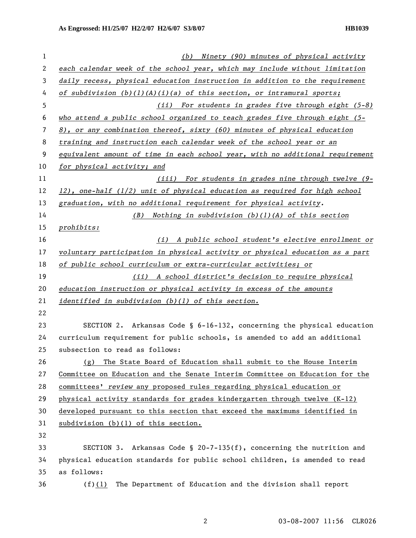| $\mathbf 1$ | (b) Ninety (90) minutes of physical activity                                      |  |  |
|-------------|-----------------------------------------------------------------------------------|--|--|
| 2           | each calendar week of the school year, which may include without limitation       |  |  |
| 3           | daily recess, physical education instruction in addition to the requirement       |  |  |
| 4           | of subdivision $(b)(1)(A)(i)(a)$ of this section, or intramural sports;           |  |  |
| 5           | (ii) For students in grades five through eight (5-8)                              |  |  |
| 6           | who attend a public school organized to teach grades five through eight (5-       |  |  |
| 7           | $8$ ), or any combination thereof, sixty (60) minutes of physical education       |  |  |
| 8           | training and instruction each calendar week of the school year or an              |  |  |
| 9           | equivalent amount of time in each school year, with no additional requirement     |  |  |
| 10          | for physical activity; and                                                        |  |  |
| 11          | (iii) For students in grades nine through twelve (9-                              |  |  |
| 12          | $12$ ), one-half ( $1/2$ ) unit of physical education as required for high school |  |  |
| 13          | graduation, with no additional requirement for physical activity.                 |  |  |
| 14          | (B) Nothing in subdivision $(b)(1)(A)$ of this section                            |  |  |
| 15          | prohibits:                                                                        |  |  |
| 16          | (i) A public school student's elective enrollment or                              |  |  |
| 17          | voluntary participation in physical activity or physical education as a part      |  |  |
| 18          | of public school curriculum or extra-curricular activities; or                    |  |  |
| 19          | (ii) A school district's decision to require physical                             |  |  |
| 20          | education instruction or physical activity in excess of the amounts               |  |  |
| 21          | identified in subdivision (b)(1) of this section.                                 |  |  |
| 22          |                                                                                   |  |  |
| 23          | SECTION 2. Arkansas Code $\S$ 6-16-132, concerning the physical education         |  |  |
| 24          | curriculum requirement for public schools, is amended to add an additional        |  |  |
| 25          | subsection to read as follows:                                                    |  |  |
| 26          | (g) The State Board of Education shall submit to the House Interim                |  |  |
| 27          | Committee on Education and the Senate Interim Committee on Education for the      |  |  |
| 28          | committees' review any proposed rules regarding physical education or             |  |  |
| 29          | physical activity standards for grades kindergarten through twelve (K-12)         |  |  |
| 30          | developed pursuant to this section that exceed the maximums identified in         |  |  |
| 31          | subdivision (b)(1) of this section.                                               |  |  |
| 32          |                                                                                   |  |  |
| 33          | SECTION 3. Arkansas Code § 20-7-135(f), concerning the nutrition and              |  |  |
| 34          | physical education standards for public school children, is amended to read       |  |  |
| 35          | as follows:                                                                       |  |  |
| 36          | The Department of Education and the division shall report<br>(f)(1)               |  |  |